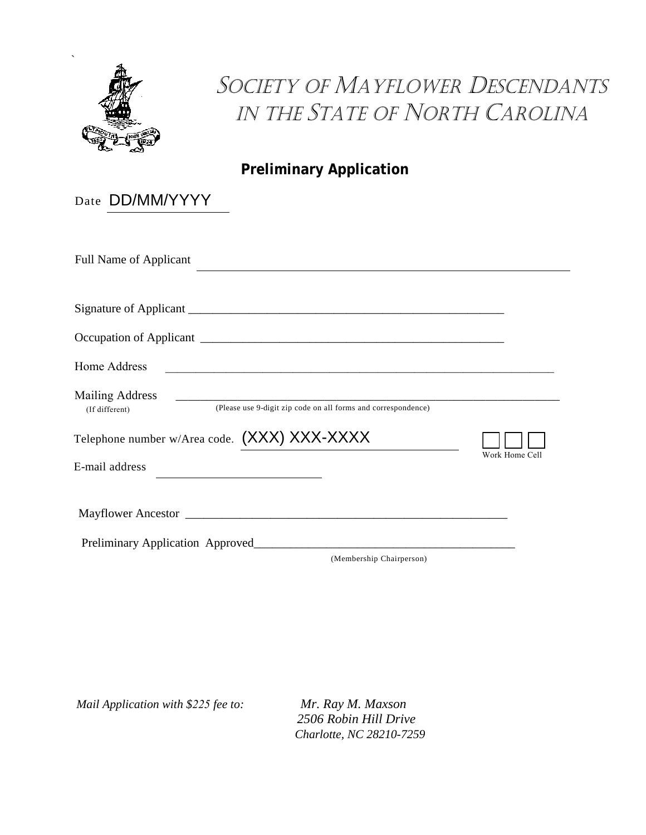

## SOCIETY OF MAYFLOWER DESCENDANTS in the state of north carolina

**Preliminary Application**

| Date DD/MM/YYYY                                                                                           |                |
|-----------------------------------------------------------------------------------------------------------|----------------|
| <b>Full Name of Applicant</b>                                                                             |                |
|                                                                                                           |                |
|                                                                                                           |                |
| Home Address                                                                                              |                |
| <b>Mailing Address</b><br>(Please use 9-digit zip code on all forms and correspondence)<br>(If different) |                |
| Telephone number w/Area code. (XXX) XXX-XXXX                                                              |                |
| E-mail address<br>the control of the control of the control of the control of                             | Work Home Cell |
|                                                                                                           |                |
| Preliminary Application Approved                                                                          |                |

(Membership Chairperson)

*Mail Application with \$225 fee to: Mr. Ray M. Maxson*

*2506 Robin Hill Drive Charlotte, NC 28210-7259*